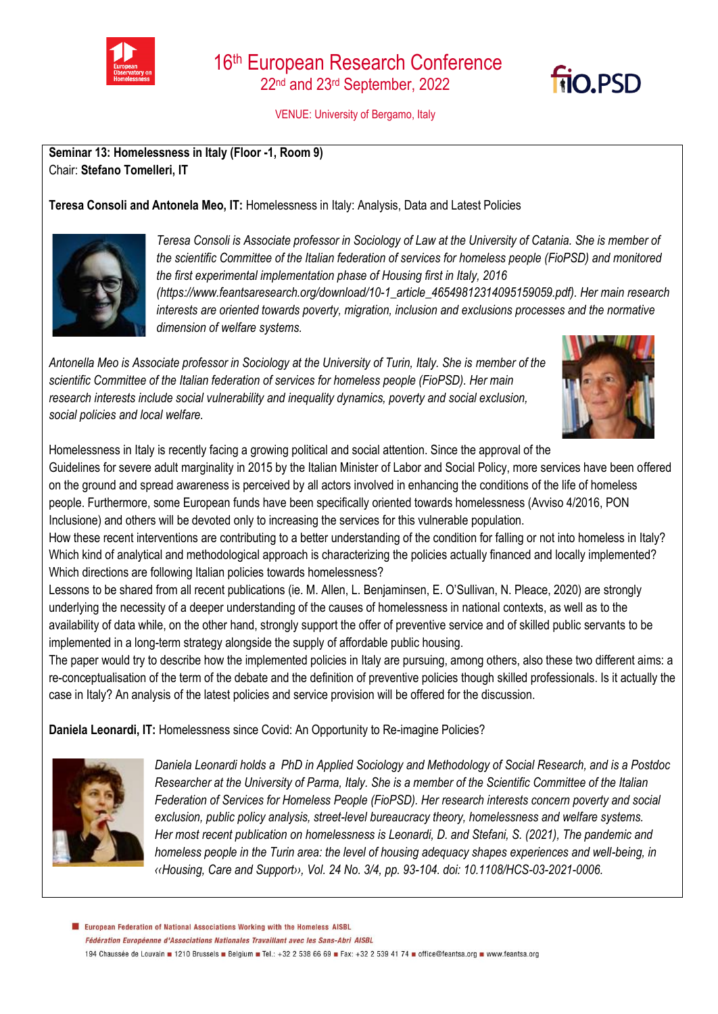

VENUE: University of Bergamo, Italy

**Seminar 13: Homelessness in Italy (Floor -1, Room 9)**  Chair: **Stefano Tomelleri, IT**

**Teresa Consoli and Antonela Meo, IT:** Homelessness in Italy: Analysis, Data and Latest Policies



*Teresa Consoli is Associate professor in Sociology of Law at the University of Catania. She is member of the scientific Committee of the Italian federation of services for homeless people (FioPSD) and monitored the first experimental implementation phase of Housing first in Italy, 2016 (https://www.feantsaresearch.org/download/10-1\_article\_46549812314095159059.pdf). Her main research interests are oriented towards poverty, migration, inclusion and exclusions processes and the normative dimension of welfare systems.* 

*Antonella Meo is Associate professor in Sociology at the University of Turin, Italy. She is member of the scientific Committee of the Italian federation of services for homeless people (FioPSD). Her main research interests include social vulnerability and inequality dynamics, poverty and social exclusion, social policies and local welfare.*



**FIO.PSD** 

Homelessness in Italy is recently facing a growing political and social attention. Since the approval of the

Guidelines for severe adult marginality in 2015 by the Italian Minister of Labor and Social Policy, more services have been offered on the ground and spread awareness is perceived by all actors involved in enhancing the conditions of the life of homeless people. Furthermore, some European funds have been specifically oriented towards homelessness (Avviso 4/2016, PON Inclusione) and others will be devoted only to increasing the services for this vulnerable population.

How these recent interventions are contributing to a better understanding of the condition for falling or not into homeless in Italy? Which kind of analytical and methodological approach is characterizing the policies actually financed and locally implemented? Which directions are following Italian policies towards homelessness?

Lessons to be shared from all recent publications (ie. M. Allen, L. Benjaminsen, E. O'Sullivan, N. Pleace, 2020) are strongly underlying the necessity of a deeper understanding of the causes of homelessness in national contexts, as well as to the availability of data while, on the other hand, strongly support the offer of preventive service and of skilled public servants to be implemented in a long-term strategy alongside the supply of affordable public housing.

The paper would try to describe how the implemented policies in Italy are pursuing, among others, also these two different aims: a re-conceptualisation of the term of the debate and the definition of preventive policies though skilled professionals. Is it actually the case in Italy? An analysis of the latest policies and service provision will be offered for the discussion.

**Daniela Leonardi, IT:** Homelessness since Covid: An Opportunity to Re-imagine Policies?



*Daniela Leonardi holds a PhD in Applied Sociology and Methodology of Social Research, and is a Postdoc Researcher at the University of Parma, Italy. She is a member of the Scientific Committee of the Italian Federation of Services for Homeless People (FioPSD). Her research interests concern poverty and social exclusion, public policy analysis, street-level bureaucracy theory, homelessness and welfare systems. Her most recent publication on homelessness is Leonardi, D. and Stefani, S. (2021), The pandemic and homeless people in the Turin area: the level of housing adequacy shapes experiences and well-being, in ‹‹Housing, Care and Support››, Vol. 24 No. 3/4, pp. 93-104. doi: 10.1108/HCS-03-2021-0006.*

European Federation of National Associations Working with the Homeless AISBL Fédération Européenne d'Associations Nationales Travaillant avec les Sans-Abri AISBL 194 Chaussée de Louvain 1210 Brussels Belgium B Tel.: +32 2 538 66 69 B Fax: +32 2 539 41 74 B office@feantsa.org B www.feantsa.org